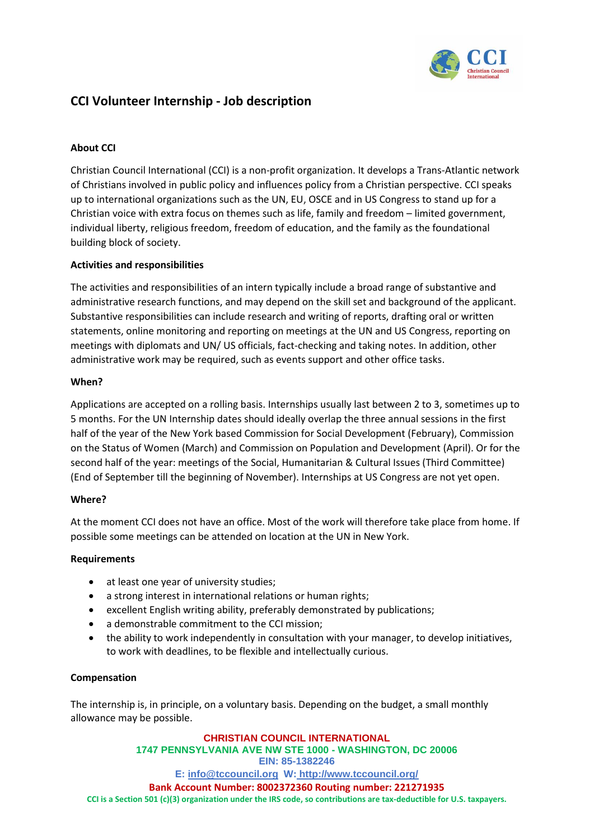

# **CCI Volunteer Internship - Job description**

## **About CCI**

Christian Council International (CCI) is a non-profit organization. It develops a Trans-Atlantic network of Christians involved in public policy and influences policy from a Christian perspective. CCI speaks up to international organizations such as the UN, EU, OSCE and in US Congress to stand up for a Christian voice with extra focus on themes such as life, family and freedom – limited government, individual liberty, religious freedom, freedom of education, and the family as the foundational building block of society.

### **Activities and responsibilities**

The activities and responsibilities of an intern typically include a broad range of substantive and administrative research functions, and may depend on the skill set and background of the applicant. Substantive responsibilities can include research and writing of reports, drafting oral or written statements, online monitoring and reporting on meetings at the UN and US Congress, reporting on meetings with diplomats and UN/ US officials, fact-checking and taking notes. In addition, other administrative work may be required, such as events support and other office tasks.

#### **When?**

Applications are accepted on a rolling basis. Internships usually last between 2 to 3, sometimes up to 5 months. For the UN Internship dates should ideally overlap the three annual sessions in the first half of the year of the New York based Commission for Social Development (February), Commission on the Status of Women (March) and Commission on Population and Development (April). Or for the second half of the year: meetings of the Social, Humanitarian & Cultural Issues (Third Committee) (End of September till the beginning of November). Internships at US Congress are not yet open.

#### **Where?**

At the moment CCI does not have an office. Most of the work will therefore take place from home. If possible some meetings can be attended on location at the UN in New York.

#### **Requirements**

- at least one year of university studies;
- a strong interest in international relations or human rights;
- excellent English writing ability, preferably demonstrated by publications;
- a demonstrable commitment to the CCI mission;
- the ability to work independently in consultation with your manager, to develop initiatives, to work with deadlines, to be flexible and intellectually curious.

#### **Compensation**

The internship is, in principle, on a voluntary basis. Depending on the budget, a small monthly allowance may be possible.

**CHRISTIAN COUNCIL INTERNATIONAL 1747 PENNSYLVANIA AVE NW STE 1000 - WASHINGTON, DC 20006 EIN: 85-1382246 E: [info@tccouncil.org](mailto:info@tccouncil.orgW) W: http://www.tccouncil.org/ Bank Account Number: 8002372360 Routing number: 221271935 CCI is a Section 501 (c)(3) organization under the IRS code, so contributions are tax-deductible for U.S. taxpayers.**